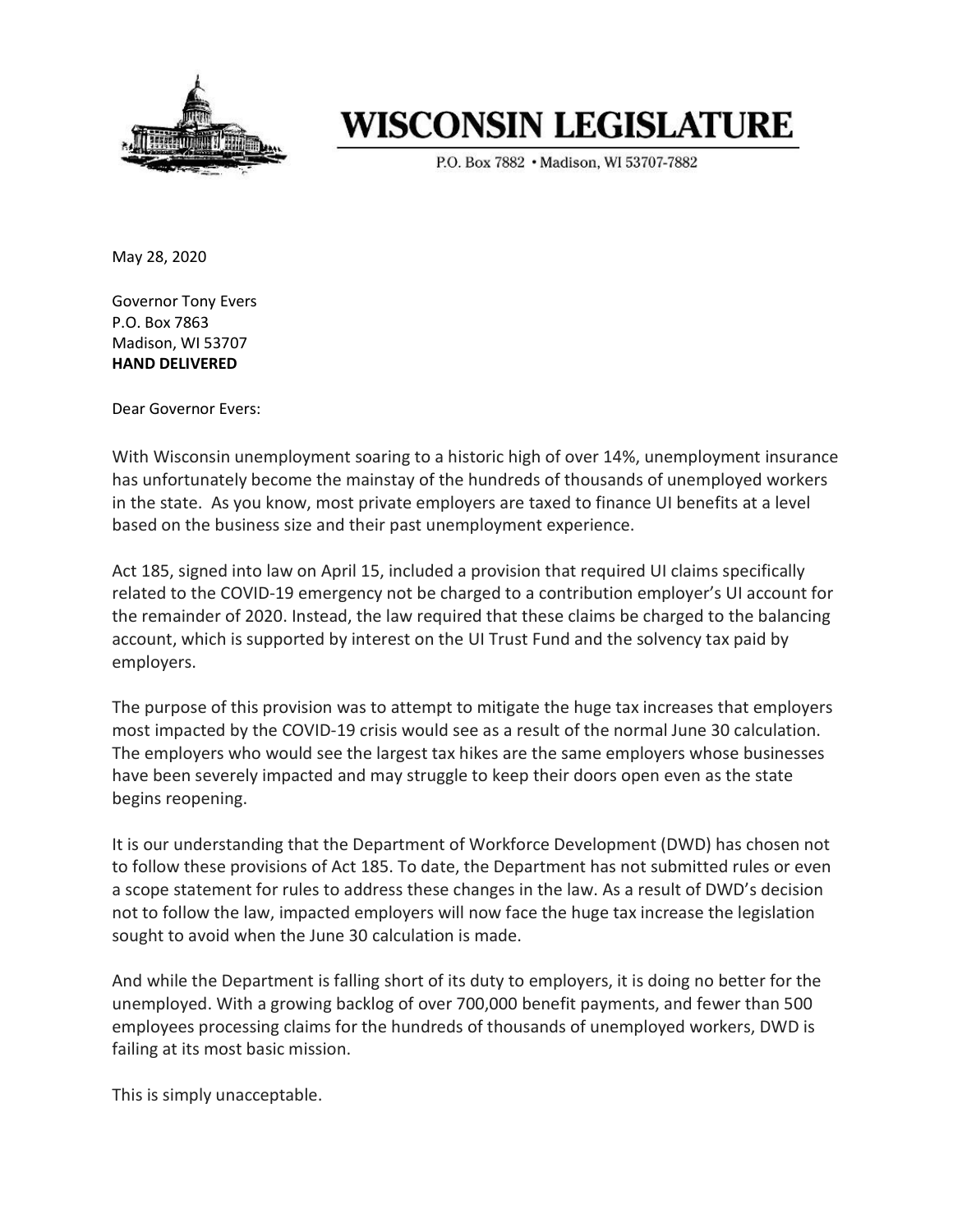

## **WISCONSIN LEGISLATURE**

P.O. Box 7882 . Madison, WI 53707-7882

May 28, 2020

Governor Tony Evers P.O. Box 7863 Madison, WI 53707 HAND DELIVERED

Dear Governor Evers:

With Wisconsin unemployment soaring to a historic high of over 14%, unemployment insurance has unfortunately become the mainstay of the hundreds of thousands of unemployed workers in the state. As you know, most private employers are taxed to finance UI benefits at a level based on the business size and their past unemployment experience.

Act 185, signed into law on April 15, included a provision that required UI claims specifically related to the COVID-19 emergency not be charged to a contribution employer's UI account for the remainder of 2020. Instead, the law required that these claims be charged to the balancing account, which is supported by interest on the UI Trust Fund and the solvency tax paid by employers.

The purpose of this provision was to attempt to mitigate the huge tax increases that employers most impacted by the COVID-19 crisis would see as a result of the normal June 30 calculation. The employers who would see the largest tax hikes are the same employers whose businesses have been severely impacted and may struggle to keep their doors open even as the state begins reopening.

It is our understanding that the Department of Workforce Development (DWD) has chosen not to follow these provisions of Act 185. To date, the Department has not submitted rules or even a scope statement for rules to address these changes in the law. As a result of DWD's decision not to follow the law, impacted employers will now face the huge tax increase the legislation sought to avoid when the June 30 calculation is made.

And while the Department is falling short of its duty to employers, it is doing no better for the unemployed. With a growing backlog of over 700,000 benefit payments, and fewer than 500 employees processing claims for the hundreds of thousands of unemployed workers, DWD is failing at its most basic mission.

This is simply unacceptable.